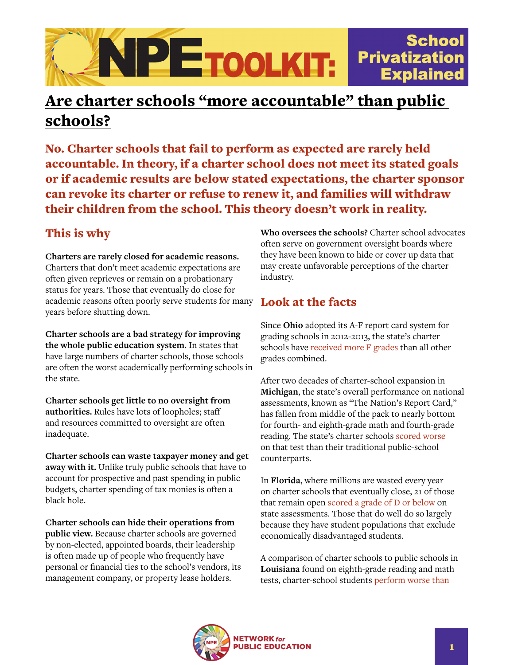

## Are charter schools "more accountable" than public schools?

No. Charter schools that fail to perform as expected are rarely held accountable. In theory, if a charter school does not meet its stated goals or if academic results are below stated expectations, the charter sponsor can revoke its charter or refuse to renew it, and families will withdraw their children from the school. This theory doesn't work in reality.

## This is why

**Charters are rarely closed for academic reasons.** Charters that don't meet academic expectations are often given reprieves or remain on a probationary status for years. Those that eventually do close for academic reasons often poorly serve students for many years before shutting down.

**Charter schools are a bad strategy for improving the whole public education system.** In states that have large numbers of charter schools, those schools are often the worst academically performing schools in the state.

**Charter schools get little to no oversight from authorities.** Rules have lots of loopholes; staff and resources committed to oversight are often inadequate.

**Charter schools can waste taxpayer money and get away with it.** Unlike truly public schools that have to account for prospective and past spending in public budgets, charter spending of tax monies is often a black hole.

**Charter schools can hide their operations from public view.** Because charter schools are governed by non-elected, appointed boards, their leadership is often made up of people who frequently have personal or financial ties to the school's vendors, its management company, or property lease holders.

**Who oversees the schools?** Charter school advocates often serve on government oversight boards where they have been known to hide or cover up data that may create unfavorable perceptions of the charter industry.

## Look at the facts

Since **Ohio** adopted its A-F report card system for grading schools in 2012-2013, the state's charter schools have [received more F grades](https://dianeravitch.net/2020/10/20/stephen-dyer-evaluates-flawed-fordham-charter-report/) than all other grades combined.

After two decades of charter-school expansion in **Michigan**, the state's overall performance on national assessments, known as "The Nation's Report Card," has fallen from middle of the pack to nearly bottom for fourth- and eighth-grade math and fourth-grade reading. The state's charter schools [scored worse](https://www.politico.com/story/2016/12/betsy-devos-michigan-school-experiment-232399) on that test than their traditional public-school counterparts.

In **Florida**, where millions are wasted every year on charter schools that eventually close, 21 of those that remain open [scored a grade of D or below](https://www.populardemocracy.org/news/publications/florida-charters-fall-short-state-assessments-0) on state assessments. Those that do well do so largely because they have student populations that exclude economically disadvantaged students.

A comparison of charter schools to public schools in **Louisiana** found on eighth-grade reading and math tests, charter-school students [perform worse than](https://networkforpubliceducation.org/policy_brief_louisiana/)